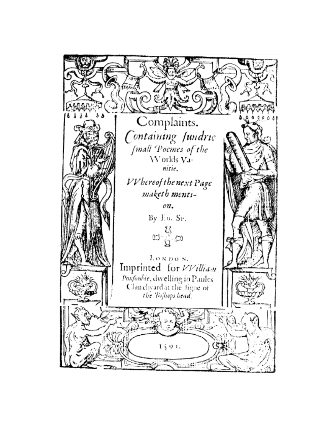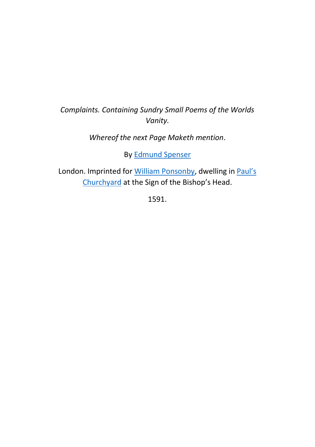## *Complaints. Containing Sundry Small Poems of the Worlds Vanity.*

## *Whereof the next Page Maketh mention*.

By [Edmund Spenser](http://0-www.oxforddnb.com.library.ucc.ie/view/article/26145?docPos=1)

London. Imprinted for [William Ponsonby,](http://0-www.oxforddnb.com.library.ucc.ie/view/article/22503?docPos=3) dwelling i[n Paul](https://mapoflondon.uvic.ca/BOOK2.htm)'s [Churchyard](https://mapoflondon.uvic.ca/BOOK2.htm) at the Sign of the Bishop's Head.

1591.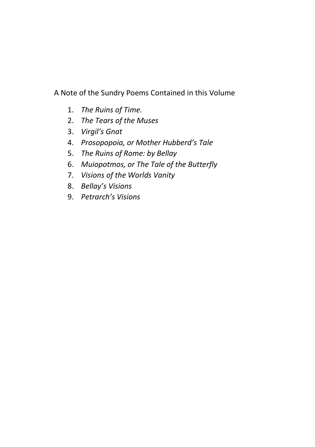A Note of the Sundry Poems Contained in this Volume

- 1. *The Ruins of Time.*
- 2. *The Tears of the Muses*
- 3. *Virgil's Gnat*
- 4. *Prosopopoia, or Mother Hubberd's Tale*
- 5. *The Ruins of Rome: by Bellay*
- 6. *Muiopotmos, or The Tale of the Butterfly*
- 7. *Visions of the Worlds Vanity*
- 8. *Bellay's Visions*
- 9. *Petrarch's Visions*